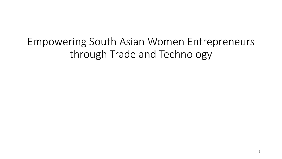Empowering South Asian Women Entrepreneurs through Trade and Technology

1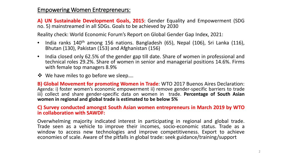### Empowering Women Entrepreneurs:

**A) UN Sustainable Development Goals, 2015**: Gender Equality and Empowerment (SDG no. 5) mainstreamed in all SDGs. Goals to be achieved by 2030

Reality check: World Economic Forum's Report on Global Gender Gap Index, 2021:

- India ranks 140<sup>th</sup> among 156 nations. Bangladesh (65), Nepal (106), Sri Lanka (116), Bhutan (130), Pakistan (153) and Afghanistan (156)
- India closed only 62.5% of the gender gap till date. Share of women in professional and technical roles 29.2%. Share of women in senior and managerial positions 14.6%. Firms with female top managers 8.9%
- ❖ We have miles to go before we sleep....

**B) Global Movement for promoting Women in Trade**: WTO 2017 Buenos Aires Declaration: Agenda: i) foster women's economic empowerment ii) remove gender-specific barriers to trade iii) collect and share gender-specific data on women in trade. **Percentage of South Asian women in regional and global trade is estimated to be below 5%**

**C) Survey conducted amongst South Asian women entrepreneurs in March 2019 by WTO in collaboration with SAWDF:**

Overwhelming majority indicated interest in participating in regional and global trade. Trade seen as <sup>a</sup> vehicle to improve their incomes, socio-economic status. Trade as <sup>a</sup> window to access new technologies and improve competitiveness. Export to achieve economies of scale. Aware of the pitfalls in global trade: seek guidance/training/support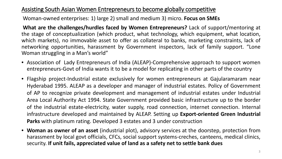## Assisting South Asian Women Entrepreneurs to become globally competitive

Woman-owned enterprises: 1) large 2) small and medium 3) micro. **Focus on SMEs** 

**What are the challenges/hurdles faced by Women Entrepreneurs?** Lack of support/mentoring at the stage of conceptualization (which product, what technology, which equipment, what location, which markets), no immovable asset to offer as collateral to banks, marketing constraints, lack of networking opportunities, harassment by Government inspectors, lack of family support. "Lone Woman struggling in a Man's world"

- Association of Lady Entrepreneurs of India (ALEAP)-Comprehensive approach to support women entrepreneurs-Govt of India wants it to be a model for replicating in other parts of the country
- Flagship project-Industrial estate exclusively for women entrepreneurs at Gajularamaram near Hyderabad 1995. ALEAP as a developer and manager of industrial estates. Policy of Government of AP to recognize private development and management of industrial estates under Industrial Area Local Authority Act 1994. State Government provided basic infrastructure up to the border of the industrial estate-electricity, water supply, road connection, internet connection. Internal infrastructure developed and maintained by ALEAP. Setting up **Export-oriented Green Industrial Parks** with platinum rating. Developed 3 estates and 3 under construction
- **Woman as owner of an asset** (industrial plot), advisory services at the doorstep, protection from harassment by local govt officials, CFCs, social support systems-creches, canteens, medical clinics, security. **If unit fails, appreciated value of land as a safety net to settle bank dues**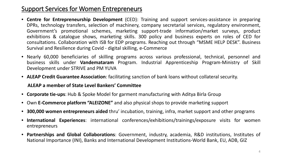## Support Services for Women Entrepreneurs

- **Centre for Entrepreneurship Development** (CED): Training and support services-assistance in preparing DPRs, technology transfers, selection of machinery, company secretarial services, regulatory environment, Government's promotional schemes, marketing support-trade information/market surveys, product exhibitions & catalogue shows, marketing skills. 300 policy and business experts on roles of CED for consultations. Collaboration with ISB for EDP programs. Reaching out through "MSME HELP DESK". Business Survival and Resilience during Covid - digital skilling, e-Commerce
- Nearly 60,000 beneficiaries of skilling programs across various professional, technical, personnel and business skills under **Vandemataram** Program. Industrial Apprenticeship Program-Ministry of Skill Development under STRIVE and PM YUVA
- **ALEAP Credit Guarantee Association**: facilitating sanction of bank loans without collateral security.

#### **ALEAP a member of State Level Bankers' Committee**

- **Corporate tie-ups**: Hub & Spoke Model for garment manufacturing with Aditya Birla Group
- Own **E-Commerce platform "ALEIZONE"** and also physical shops to provide marketing support
- **300,000 women entrepreneurs aided** thru' incubation, training, infra, market support and other programs
- **International Experiences**: international conferences/exhibitions/trainings/exposure visits for women entrepreneurs
- **Partnerships and Global Collaborations**: Government, industry, academia, R&D institutions, Institutes of National Importance (INI), Banks and International Development Institutions-World Bank, EU, ADB, GIZ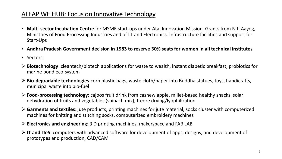## ALEAP WE HUB: Focus on Innovative Technology

- **Multi-sector Incubation Centre** for MSME start-ups under Atal Innovation Mission. Grants from Niti Aayog, Ministries of Food Processing Industries and of I.T and Electronics. Infrastructure facilities and support for Start-Ups
- **Andhra Pradesh Government decision in 1983 to reserve 30% seats for women in all technical institutes**
- Sectors:
- **Biotechnology**: cleantech/biotech applications for waste to wealth, instant diabetic breakfast, probiotics for marine pond eco-system
- **Bio-degradable technologies**-corn plastic bags, waste cloth/paper into Buddha statues, toys, handicrafts, municipal waste into bio-fuel
- **Food-processing technology**: cajoos fruit drink from cashew apple, millet-based healthy snacks, solar dehydration of fruits and vegetables (spinach mix), freeze drying/lyophilization
- **Garments and textiles**: jute products, printing machines for jute material, socks cluster with computerized machines for knitting and stitching socks, computerized embroidery machines
- **Electronics and engineering**: 3 D printing machines, makerspace and FAB LAB
- **IT and ITeS**: computers with advanced software for development of apps, designs, and development of prototypes and production, CAD/CAM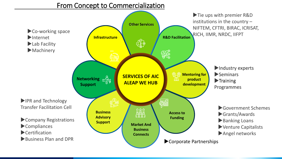From Concept to Commercialization

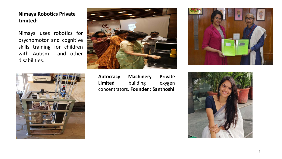**Nimaya Robotics Private Limited:**

Nimaya uses robotics for psychomotor and cognitive skills training for children with Autism and other disabilities.





Nachises **Autocracy Machinery Private Limited** building oxygen concentrators. **Founder : Santhoshi**



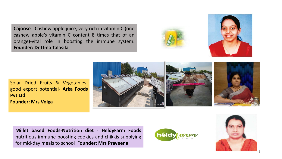**Cajoose** - Cashew apple juice, very rich in vitamin C (one cashew apple's vitamin C content 8 times that of an orange)-vital role in boosting the immune system. **Founder: Dr Uma Talasila**





Solar Dried Fruits & Vegetablesgood export potential- **Arka Foods Pvt Ltd**. **Founder: Mrs Volga**



**Millet based Foods-Nutrition diet** - **HeldyFarm Foods** nutritious immune-boosting cookies and chikkis-supplying for mid-day meals to school **Founder: Mrs Praveena**



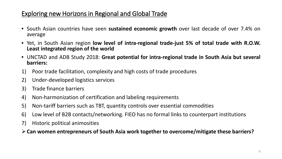# Exploring new Horizons in Regional and Global Trade

- South Asian countries have seen **sustained economic growth** over last decade of over 7.4% on average
- Yet, in South Asian region low level of intra-regional trade-just 5% of total trade with R.O.W.<br>Least integrated region of the world
- UNCTAD and ADB Study 2018: **Great potential for intra-regional trade in South Asia but several barriers:**
- 1) Poor trade facilitation, complexity and high costs of trade procedures
- 2) Under-developed logistics services
- 3) Trade finance barriers
- 4) Non-harmonization of certification and labeling requirements
- 5) Non-tariff barriers such as TBT, quantity controls over essential commodities
- 6) Low level of B2B contacts/networking. FIEO has no formal links to counterpart institutions
- 7) Historic political animosities

**Can women entrepreneurs of South Asia work together to overcome/mitigate these barriers?**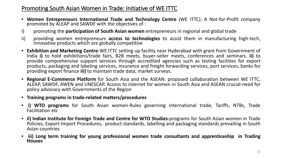## Promoting South Asian Women in Trade: Initiative of WE ITTC

- **Women Entrepreneurs International Trade and Technology Centre** (WE ITTC). <sup>A</sup> Not-for-Profit company promoted by ALEAP and SAWDF with the objectives of :
- i) promoting the **participation of South Asian women** entrepreneurs in regional and global trade
- ii) providing women entrepreneurs **access to technologies** to assist them in manufacturing high-tech, innovative products which are globally competitive
- **Exhibition and Marketing Centre**-WE ITTC setting up facility near Hyderabad with grant from Government of India **i)** to hold exhibitions/trade fairs, B2B meets, buyer-seller meets, conferences and seminars. **ii)** to provide comprehensive support services through accredited agencies such as testing facilities for export products, packaging and labeling services, insurance and freight forwarding services, port services, banks for providing export finance **iii)** to maintain trade data, market surveys.
- **Regional E-Commerce Platform** for South Asia and the ASEAN: proposed collaboration between WE ITTC, ALEAP, SAWDF, AWEN and UNESCAP. Access to internet for women in South Asia and ASEAN crucial-need for policy advocacy with Governments of the Region
- **Training programs in trade-related matters/procedures**
- **i) WTO programs** for South Asian women-Rules governing international trade, Tariffs, NTBs, Trade Facilitation etc
- **ii) Indian Institute for Foreign Trade and Centre for WTO Studies-**programs for South Asian women in Trade Policies, Export-Import Procedures, product standards, labelling and packaging standards prevailing in South Asian countries
- **iii) Long term training for young professional women trade consultants and apprenticeship in Trading Houses**